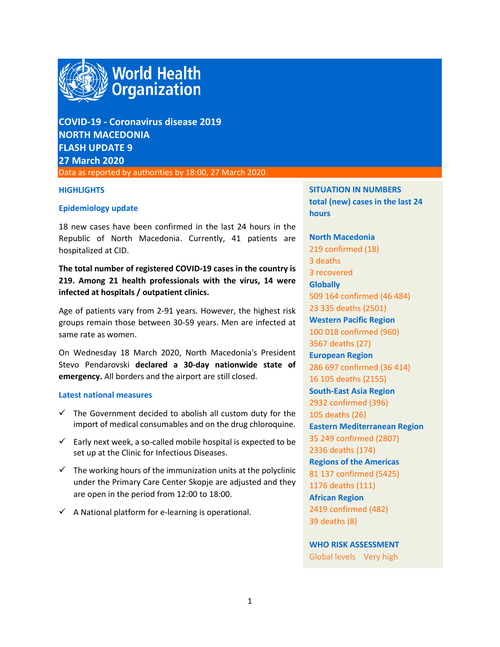

# **COVID-19 - Coronavirus disease 2019 NORTH MACEDONIA FLASH UPDATE 9 27 March 2020**

Data as reported by authorities by 18:00, 27 March 2020

#### **HIGHLIGHTS**

#### **Epidemiology update**

18 new cases have been confirmed in the last 24 hours in the Republic of North Macedonia. Currently, 41 patients are hospitalized at CID.

# **The total number of registered COVID-19 cases in the country is 219. Among 21 health professionals with the virus, 14 were infected at hospitals / outpatient clinics.**

Age of patients vary from 2-91 years. However, the highest risk groups remain those between 30-59 years. Men are infected at same rate as women.

On Wednesday 18 March 2020, North Macedonia's President Stevo Pendarovski **declared a 30-day nationwide state of emergency.** All borders and the airport are still closed.

#### **Latest national measures**

- $\checkmark$  The Government decided to abolish all custom duty for the import of medical consumables and on the drug chloroquine.
- $\checkmark$  Early next week, a so-called mobile hospital is expected to be set up at the Clinic for Infectious Diseases.
- $\checkmark$  The working hours of the immunization units at the polyclinic under the Primary Care Center Skopje are adjusted and they are open in the period from 12:00 to 18:00.
- $\checkmark$  A National platform for e-learning is operational.

**SITUATION IN NUMBERS total (new) cases in the last 24 hours**

**North Macedonia** 219 confirmed (18) 3 deaths 3 recovered **Globally**  509 164 confirmed (46 484) 23 335 deaths (2501) **Western Pacific Region** 100 018 confirmed (960) 3567 deaths (27) **European Region** 286 697 confirmed (36 414) 16 105 deaths (2155) **South-East Asia Region** 2932 confirmed (396) 105 deaths (26) **Eastern Mediterranean Region** 35 249 confirmed (2807) 2336 deaths (174) **Regions of the Americas** 81 137 confirmed (5425) 1176 deaths (111) **African Region** 2419 confirmed (482) 39 deaths (8)

**WHO RISK ASSESSMENT**  Global levels Very high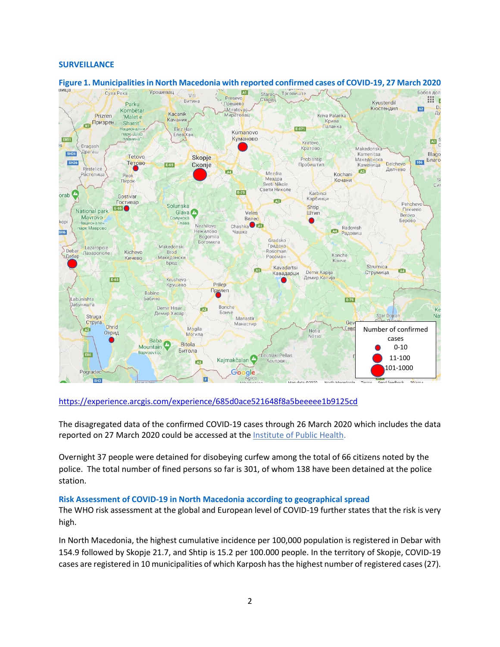#### **SURVEILLANCE**



### **Figure 1. Municipalitiesin North Macedonia with reported confirmed cases of COVID-19, 27 March 2020**

### <https://experience.arcgis.com/experience/685d0ace521648f8a5beeeee1b9125cd>

The disagregated data of the confirmed COVID-19 cases through 26 March 2020 which includes the data reported on 27 March 2020 could be accessed at the [Institute of Public Health.](http://www.iph.mk/%D1%81%D0%BE%D1%81%D1%82%D0%BE%D1%98%D0%B1%D0%B0-%D1%81%D0%BE-covid-19-%D0%B2%D0%BE-%D1%81%D0%B5%D0%B2%D0%B5%D1%80%D0%BD%D0%B0-%D0%BC%D0%B0%D0%BA%D0%B5%D0%B4%D0%BE%D0%BD%D0%B8%D1%98%D0%B0-%D0%B8/)

Overnight 37 people were detained for disobeying curfew among the total of 66 citizens noted by the police. The total number of fined persons so far is 301, of whom 138 have been detained at the police station.

#### **Risk Assessment of COVID-19 in North Macedonia according to geographical spread**

The WHO risk assessment at the global and European level of COVID-19 further states that the risk is very high.

In North Macedonia, the highest cumulative incidence per 100,000 population is registered in Debar with 154.9 followed by Skopje 21.7, and Shtip is 15.2 per 100.000 people. In the territory of Skopje, COVID-19 cases are registered in 10 municipalities of which Karposh has the highest number of registered cases (27).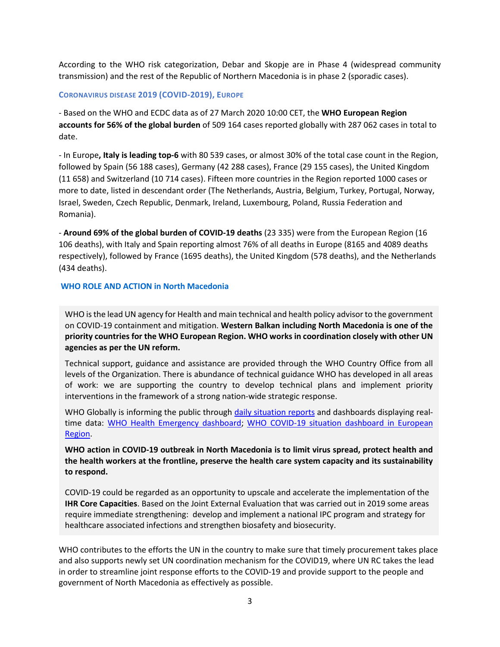According to the WHO risk categorization, Debar and Skopje are in Phase 4 (widespread community transmission) and the rest of the Republic of Northern Macedonia is in phase 2 (sporadic cases).

#### **CORONAVIRUS DISEASE 2019 (COVID-2019), EUROPE**

- Based on the WHO and ECDC data as of 27 March 2020 10:00 CET, the **WHO European Region accounts for 56% of the global burden** of 509 164 cases reported globally with 287 062 cases in total to date.

- In Europe**, Italy is leading top-6** with 80 539 cases, or almost 30% of the total case count in the Region, followed by Spain (56 188 cases), Germany (42 288 cases), France (29 155 cases), the United Kingdom (11 658) and Switzerland (10 714 cases). Fifteen more countries in the Region reported 1000 cases or more to date, listed in descendant order (The Netherlands, Austria, Belgium, Turkey, Portugal, Norway, Israel, Sweden, Czech Republic, Denmark, Ireland, Luxembourg, Poland, Russia Federation and Romania).

- **Around 69% of the global burden of COVID-19 deaths** (23 335) were from the European Region (16 106 deaths), with Italy and Spain reporting almost 76% of all deaths in Europe (8165 and 4089 deaths respectively), followed by France (1695 deaths), the United Kingdom (578 deaths), and the Netherlands (434 deaths).

#### **WHO ROLE AND ACTION in North Macedonia**

WHO is the lead UN agency for Health and main technical and health policy advisor to the government on COVID-19 containment and mitigation. **Western Balkan including North Macedonia is one of the priority countries for the WHO European Region. WHO works in coordination closely with other UN agencies as per the UN reform.** 

Technical support, guidance and assistance are provided through the WHO Country Office from all levels of the Organization. There is abundance of technical guidance WHO has developed in all areas of work: we are supporting the country to develop technical plans and implement priority interventions in the framework of a strong nation-wide strategic response.

WHO Globally is informing the public through [daily situation reports](https://www.who.int/emergencies/diseases/novel-coronavirus-2019/situation-reports/) and dashboards displaying realtime data: [WHO Health Emergency dashboard;](https://extranet.who.int/publicemergency) [WHO COVID-19 situation dashboard in European](http://who.maps.arcgis.com/apps/opsdashboard/index.html#/ead3c6475654481ca51c248d52ab9c61)  [Region.](http://who.maps.arcgis.com/apps/opsdashboard/index.html#/ead3c6475654481ca51c248d52ab9c61)

**WHO action in COVID-19 outbreak in North Macedonia is to limit virus spread, protect health and the health workers at the frontline, preserve the health care system capacity and its sustainability to respond.** 

COVID-19 could be regarded as an opportunity to upscale and accelerate the implementation of the **IHR Core Capacities**. Based on the Joint External Evaluation that was carried out in 2019 some areas require immediate strengthening: develop and implement a national IPC program and strategy for healthcare associated infections and strengthen biosafety and biosecurity.

WHO contributes to the efforts the UN in the country to make sure that timely procurement takes place and also supports newly set UN coordination mechanism for the COVID19, where UN RC takes the lead in order to streamline joint response efforts to the COVID-19 and provide support to the people and government of North Macedonia as effectively as possible.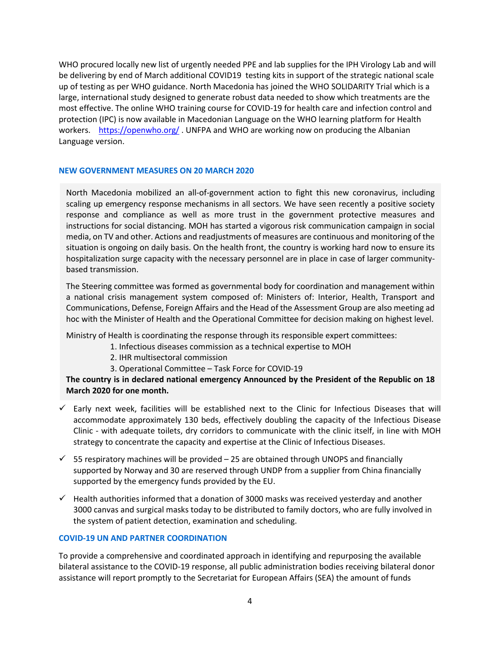WHO procured locally new list of urgently needed PPE and lab supplies for the IPH Virology Lab and will be delivering by end of March additional COVID19 testing kits in support of the strategic national scale up of testing as per WHO guidance. North Macedonia has joined the WHO SOLIDARITY Trial which is a large, international study designed to generate robust data needed to show which treatments are the most effective. The online WHO training course for COVID-19 for health care and infection control and protection (IPC) is now available in Macedonian Language on the WHO learning platform for Health workers. <https://openwho.org/> . UNFPA and WHO are working now on producing the Albanian Language version.

#### **NEW GOVERNMENT MEASURES ON 20 MARCH 2020**

North Macedonia mobilized an all-of-government action to fight this new coronavirus, including scaling up emergency response mechanisms in all sectors. We have seen recently a positive society response and compliance as well as more trust in the government protective measures and instructions for social distancing. MOH has started a vigorous risk communication campaign in social media, on TV and other. Actions and readjustments of measures are continuous and monitoring of the situation is ongoing on daily basis. On the health front, the country is working hard now to ensure its hospitalization surge capacity with the necessary personnel are in place in case of larger communitybased transmission.

The Steering committee was formed as governmental body for coordination and management within a national crisis management system composed of: Ministers of: Interior, Health, Transport and Communications, Defense, Foreign Affairs and the Head of the Assessment Group are also meeting ad hoc with the Minister of Health and the Operational Committee for decision making on highest level.

Ministry of Health is coordinating the response through its responsible expert committees:

- 1. Infectious diseases commission as a technical expertise to MOH
	- 2. IHR multisectoral commission
	- 3. Operational Committee Task Force for COVID-19

**The country is in declared national emergency Announced by the President of the Republic on 18 March 2020 for one month.** 

- $\checkmark$  Early next week, facilities will be established next to the Clinic for Infectious Diseases that will accommodate approximately 130 beds, effectively doubling the capacity of the Infectious Disease Clinic - with adequate toilets, dry corridors to communicate with the clinic itself, in line with MOH strategy to concentrate the capacity and expertise at the Clinic of Infectious Diseases.
- $\checkmark$  55 respiratory machines will be provided 25 are obtained through UNOPS and financially supported by Norway and 30 are reserved through UNDP from a supplier from China financially supported by the emergency funds provided by the EU.
- $\checkmark$  Health authorities informed that a donation of 3000 masks was received yesterday and another 3000 canvas and surgical masks today to be distributed to family doctors, who are fully involved in the system of patient detection, examination and scheduling.

#### **COVID-19 UN AND PARTNER COORDINATION**

To provide a comprehensive and coordinated approach in identifying and repurposing the available bilateral assistance to the COVID-19 response, all public administration bodies receiving bilateral donor assistance will report promptly to the Secretariat for European Affairs (SEA) the amount of funds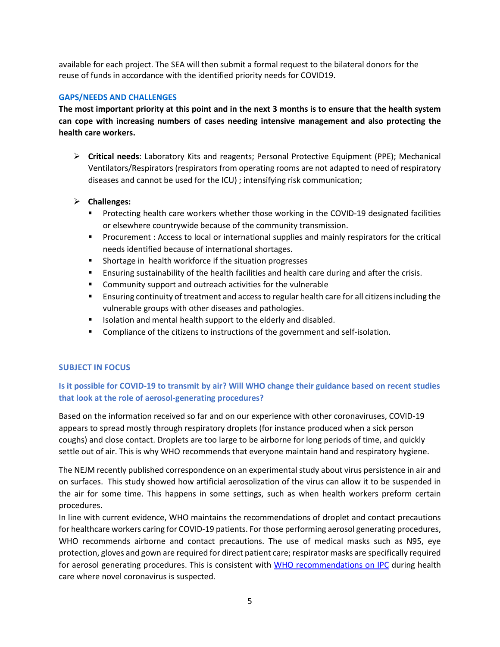available for each project. The SEA will then submit a formal request to the bilateral donors for the reuse of funds in accordance with the identified priority needs for COVID19.

### **GAPS/NEEDS AND CHALLENGES**

**The most important priority at this point and in the next 3 months is to ensure that the health system can cope with increasing numbers of cases needing intensive management and also protecting the health care workers.**

 **Critical needs**: Laboratory Kits and reagents; Personal Protective Equipment (PPE); Mechanical Ventilators/Respirators (respirators from operating rooms are not adapted to need of respiratory diseases and cannot be used for the ICU) ; intensifying risk communication;

## **Challenges:**

- **Protecting health care workers whether those working in the COVID-19 designated facilities** or elsewhere countrywide because of the community transmission.
- **Procurement : Access to local or international supplies and mainly respirators for the critical** needs identified because of international shortages.
- **Shortage in health workforce if the situation progresses**
- **Ensuring sustainability of the health facilities and health care during and after the crisis.**
- **EXTER** Community support and outreach activities for the vulnerable
- **Ensuring continuity of treatment and access to regular health care for all citizens including the** vulnerable groups with other diseases and pathologies.
- **ISOLATION 6.1 ISOLATION ISOLATION** ISOLATION IN A mental health support to the elderly and disabled.
- **Compliance of the citizens to instructions of the government and self-isolation.**

## **SUBJECT IN FOCUS**

# **Is it possible for COVID-19 to transmit by air? Will WHO change their guidance based on recent studies that look at the role of aerosol-generating procedures?**

Based on the information received so far and on our experience with other coronaviruses, COVID-19 appears to spread mostly through respiratory droplets (for instance produced when a sick person coughs) and close contact. Droplets are too large to be airborne for long periods of time, and quickly settle out of air. This is why WHO recommends that everyone maintain hand and respiratory hygiene.

The NEJM recently published correspondence on an experimental study about virus persistence in air and on surfaces. This study showed how artificial aerosolization of the virus can allow it to be suspended in the air for some time. This happens in some settings, such as when health workers preform certain procedures.

In line with current evidence, WHO maintains the recommendations of droplet and contact precautions for healthcare workers caring for COVID-19 patients. For those performing aerosol generating procedures, WHO recommends airborne and contact precautions. The use of medical masks such as N95, eye protection, gloves and gown are required for direct patient care; respirator masks are specifically required for aerosol generating procedures. This is consistent with [WHO recommendations on IPC](https://www.who.int/publications-detail/infection-prevention-and-control-during-health-care-when-novel-coronavirus-(ncov)-infection-is-suspected-20200125) during health care where novel coronavirus is suspected.